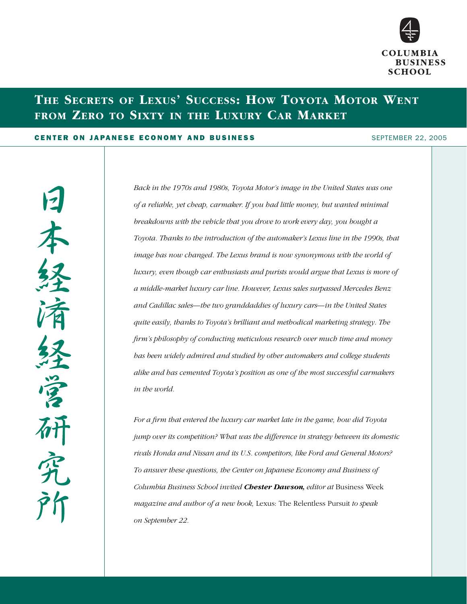

# **THE SECRETS OF LEXUS' SUCCESS: HOW TOYOTA MOTOR WENT FROM ZERO TO SIXTY IN THE LUXURY CAR MARKET**

#### CENTER ON JAPANESE ECONOMY AND BUSINESS **SEPTEMBER 2005** SEPTEMBER 22, 2005

永

*Back in the 1970s and 1980s, Toyota Motor's image in the United States was one of a reliable, yet cheap, carmaker. If you had little money, but wanted minimal breakdowns with the vehicle that you drove to work every day, you bought a Toyota. Thanks to the introduction of the automaker's Lexus line in the 1990s, that image has now changed. The Lexus brand is now synonymous with the world of luxury, even though car enthusiasts and purists would argue that Lexus is more of a middle-market luxury car line. However, Lexus sales surpassed Mercedes Benz and Cadillac sales—the two granddaddies of luxury cars—in the United States quite easily, thanks to Toyota's brilliant and methodical marketing strategy. The firm's philosophy of conducting meticulous research over much time and money has been widely admired and studied by other automakers and college students alike and has cemented Toyota's position as one of the most successful carmakers in the world.* 

*For a firm that entered the luxury car market late in the game, how did Toyota jump over its competition? What was the difference in strategy between its domestic rivals Honda and Nissan and its U.S. competitors, like Ford and General Motors? To answer these questions, the Center on Japanese Economy and Business of Columbia Business School invited Chester Dawson, editor at* Business Week *magazine and author of a new book,* Lexus: The Relentless Pursuit *to speak on September 22.*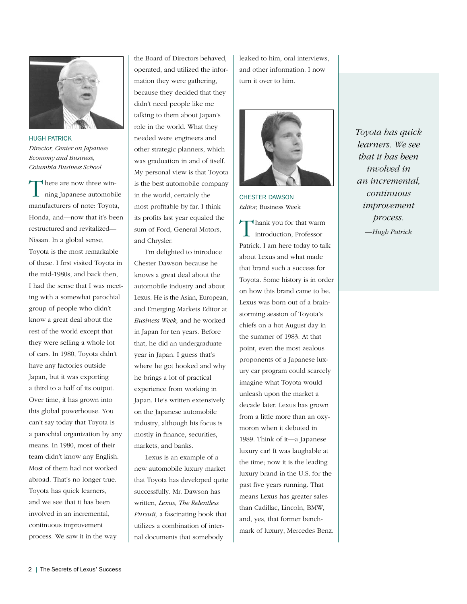

HUGH PATRICK *Director, Center on Japanese Economy and Business, Columbia Business School*

There are now three winning Japanese automobile manufacturers of note: Toyota, Honda, and—now that it's been restructured and revitalized— Nissan. In a global sense, Toyota is the most remarkable of these. I first visited Toyota in the mid-1980s, and back then, I had the sense that I was meeting with a somewhat parochial group of people who didn't know a great deal about the rest of the world except that they were selling a whole lot of cars. In 1980, Toyota didn't have any factories outside Japan, but it was exporting a third to a half of its output. Over time, it has grown into this global powerhouse. You can't say today that Toyota is a parochial organization by any means. In 1980, most of their team didn't know any English. Most of them had not worked abroad. That's no longer true. Toyota has quick learners, and we see that it has been involved in an incremental, continuous improvement process. We saw it in the way

the Board of Directors behaved, operated, and utilized the information they were gathering, because they decided that they didn't need people like me talking to them about Japan's role in the world. What they needed were engineers and other strategic planners, which was graduation in and of itself. My personal view is that Toyota is the best automobile company in the world, certainly the most profitable by far. I think its profits last year equaled the sum of Ford, General Motors, and Chrysler.

I'm delighted to introduce Chester Dawson because he knows a great deal about the automobile industry and about Lexus. He is the Asian, European, and Emerging Markets Editor at *Business Week,* and he worked in Japan for ten years. Before that, he did an undergraduate year in Japan. I guess that's where he got hooked and why he brings a lot of practical experience from working in Japan. He's written extensively on the Japanese automobile industry, although his focus is mostly in finance, securities, markets, and banks.

Lexus is an example of a new automobile luxury market that Toyota has developed quite successfully. Mr. Dawson has written, *Lexus, The Relentless Pursuit,* a fascinating book that utilizes a combination of internal documents that somebody

leaked to him, oral interviews, and other information. I now turn it over to him.



CHESTER DAWSON *Editor,* Business Week

Thank you for that warm introduction, Professor Patrick. I am here today to talk about Lexus and what made that brand such a success for Toyota. Some history is in order on how this brand came to be. Lexus was born out of a brainstorming session of Toyota's chiefs on a hot August day in the summer of 1983. At that point, even the most zealous proponents of a Japanese luxury car program could scarcely imagine what Toyota would unleash upon the market a decade later. Lexus has grown from a little more than an oxymoron when it debuted in 1989. Think of it—a Japanese luxury car! It was laughable at the time; now it is the leading luxury brand in the U.S. for the past five years running. That means Lexus has greater sales than Cadillac, Lincoln, BMW, and, yes, that former benchmark of luxury, Mercedes Benz. *Toyota has quick learners. We see that it has been involved in an incremental, continuous improvement process. —Hugh Patrick*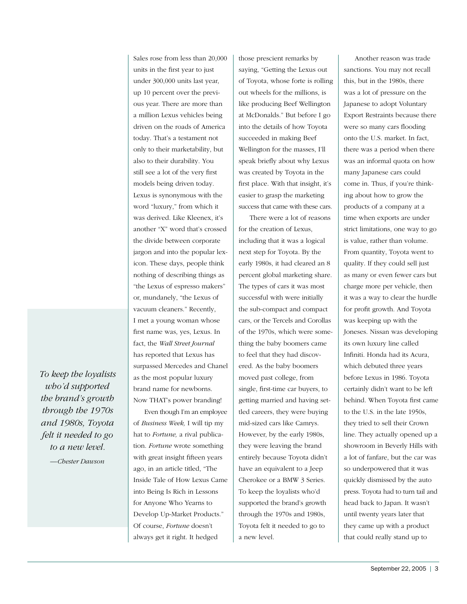*To keep the loyalists who'd supported the brand's growth through the 1970s and 1980s, Toyota felt it needed to go to a new level.*

*—Chester Dawson*

Sales rose from less than 20,000 units in the first year to just under 300,000 units last year, up 10 percent over the previous year. There are more than a million Lexus vehicles being driven on the roads of America today. That's a testament not only to their marketability, but also to their durability. You still see a lot of the very first models being driven today. Lexus is synonymous with the word "luxury," from which it was derived. Like Kleenex, it's another "X" word that's crossed the divide between corporate jargon and into the popular lexicon. These days, people think nothing of describing things as "the Lexus of espresso makers" or, mundanely, "the Lexus of vacuum cleaners." Recently, I met a young woman whose first name was, yes, Lexus. In fact, the *Wall Street Journal* has reported that Lexus has surpassed Mercedes and Chanel as the most popular luxury brand name for newborns. Now THAT's power branding!

Even though I'm an employee of *Business Week,* I will tip my hat to *Fortune,* a rival publication. *Fortune* wrote something with great insight fifteen years ago, in an article titled, "The Inside Tale of How Lexus Came into Being Is Rich in Lessons for Anyone Who Yearns to Develop Up-Market Products." Of course, *Fortune* doesn't always get it right. It hedged

those prescient remarks by saying, "Getting the Lexus out of Toyota, whose forte is rolling out wheels for the millions, is like producing Beef Wellington at McDonalds." But before I go into the details of how Toyota succeeded in making Beef Wellington for the masses, I'll speak briefly about why Lexus was created by Toyota in the first place. With that insight, it's easier to grasp the marketing success that came with these cars.

There were a lot of reasons for the creation of Lexus, including that it was a logical next step for Toyota. By the early 1980s, it had cleared an 8 percent global marketing share. The types of cars it was most successful with were initially the sub-compact and compact cars, or the Tercels and Corollas of the 1970s, which were something the baby boomers came to feel that they had discovered. As the baby boomers moved past college, from single, first-time car buyers, to getting married and having settled careers, they were buying mid-sized cars like Camrys. However, by the early 1980s, they were leaving the brand entirely because Toyota didn't have an equivalent to a Jeep Cherokee or a BMW 3 Series. To keep the loyalists who'd supported the brand's growth through the 1970s and 1980s, Toyota felt it needed to go to a new level.

Another reason was trade sanctions. You may not recall this, but in the 1980s, there was a lot of pressure on the Japanese to adopt Voluntary Export Restraints because there were so many cars flooding onto the U.S. market. In fact, there was a period when there was an informal quota on how many Japanese cars could come in. Thus, if you're thinking about how to grow the products of a company at a time when exports are under strict limitations, one way to go is value, rather than volume. From quantity, Toyota went to quality. If they could sell just as many or even fewer cars but charge more per vehicle, then it was a way to clear the hurdle for profit growth. And Toyota was keeping up with the Joneses. Nissan was developing its own luxury line called Infiniti. Honda had its Acura, which debuted three years before Lexus in 1986. Toyota certainly didn't want to be left behind. When Toyota first came to the U.S. in the late 1950s, they tried to sell their Crown line. They actually opened up a showroom in Beverly Hills with a lot of fanfare, but the car was so underpowered that it was quickly dismissed by the auto press. Toyota had to turn tail and head back to Japan. It wasn't until twenty years later that they came up with a product that could really stand up to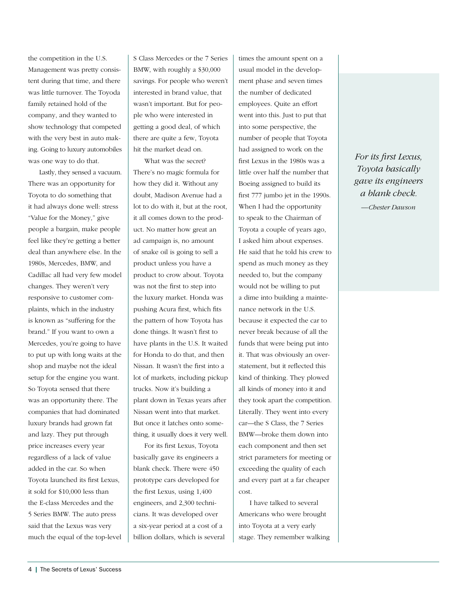the competition in the U.S. Management was pretty consistent during that time, and there was little turnover. The Toyoda family retained hold of the company, and they wanted to show technology that competed with the very best in auto making. Going to luxury automobiles was one way to do that.

Lastly, they sensed a vacuum. There was an opportunity for Toyota to do something that it had always done well: stress "Value for the Money," give people a bargain, make people feel like they're getting a better deal than anywhere else. In the 1980s, Mercedes, BMW, and Cadillac all had very few model changes. They weren't very responsive to customer complaints, which in the industry is known as "suffering for the brand." If you want to own a Mercedes, you're going to have to put up with long waits at the shop and maybe not the ideal setup for the engine you want. So Toyota sensed that there was an opportunity there. The companies that had dominated luxury brands had grown fat and lazy. They put through price increases every year regardless of a lack of value added in the car. So when Toyota launched its first Lexus, it sold for \$10,000 less than the E-class Mercedes and the 5 Series BMW. The auto press said that the Lexus was very much the equal of the top-level S Class Mercedes or the 7 Series BMW, with roughly a \$30,000 savings. For people who weren't interested in brand value, that wasn't important. But for people who were interested in getting a good deal, of which there are quite a few, Toyota hit the market dead on.

What was the secret? There's no magic formula for how they did it. Without any doubt, Madison Avenue had a lot to do with it, but at the root, it all comes down to the product. No matter how great an ad campaign is, no amount of snake oil is going to sell a product unless you have a product to crow about. Toyota was not the first to step into the luxury market. Honda was pushing Acura first, which fits the pattern of how Toyota has done things. It wasn't first to have plants in the U.S. It waited for Honda to do that, and then Nissan. It wasn't the first into a lot of markets, including pickup trucks. Now it's building a plant down in Texas years after Nissan went into that market. But once it latches onto something, it usually does it very well.

For its first Lexus, Toyota basically gave its engineers a blank check. There were 450 prototype cars developed for the first Lexus, using 1,400 engineers, and 2,300 technicians. It was developed over a six-year period at a cost of a billion dollars, which is several times the amount spent on a usual model in the development phase and seven times the number of dedicated employees. Quite an effort went into this. Just to put that into some perspective, the number of people that Toyota had assigned to work on the first Lexus in the 1980s was a little over half the number that Boeing assigned to build its first 777 jumbo jet in the 1990s. When I had the opportunity to speak to the Chairman of Toyota a couple of years ago, I asked him about expenses. He said that he told his crew to spend as much money as they needed to, but the company would not be willing to put a dime into building a maintenance network in the U.S. because it expected the car to never break because of all the funds that were being put into it. That was obviously an overstatement, but it reflected this kind of thinking. They plowed all kinds of money into it and they took apart the competition. Literally. They went into every car—the S Class, the 7 Series BMW—broke them down into each component and then set strict parameters for meeting or exceeding the quality of each and every part at a far cheaper cost.

I have talked to several Americans who were brought into Toyota at a very early stage. They remember walking

*For its first Lexus, Toyota basically gave its engineers a blank check.*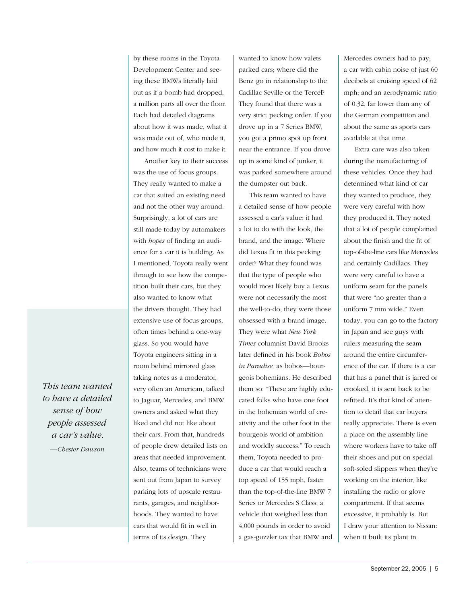by these rooms in the Toyota Development Center and seeing these BMWs literally laid out as if a bomb had dropped, a million parts all over the floor. Each had detailed diagrams about how it was made, what it was made out of, who made it, and how much it cost to make it.

Another key to their success was the use of focus groups. They really wanted to make a car that suited an existing need and not the other way around. Surprisingly, a lot of cars are still made today by automakers with *hopes* of finding an audience for a car it is building. As I mentioned, Toyota really went through to see how the competition built their cars, but they also wanted to know what the drivers thought. They had extensive use of focus groups, often times behind a one-way glass. So you would have Toyota engineers sitting in a room behind mirrored glass taking notes as a moderator, very often an American, talked to Jaguar, Mercedes, and BMW owners and asked what they liked and did not like about their cars. From that, hundreds of people drew detailed lists on areas that needed improvement. Also, teams of technicians were sent out from Japan to survey parking lots of upscale restaurants, garages, and neighborhoods. They wanted to have cars that would fit in well in terms of its design. They

wanted to know how valets parked cars; where did the Benz go in relationship to the Cadillac Seville or the Tercel? They found that there was a very strict pecking order. If you drove up in a 7 Series BMW, you got a primo spot up front near the entrance. If you drove up in some kind of junker, it was parked somewhere around the dumpster out back.

This team wanted to have a detailed sense of how people assessed a car's value; it had a lot to do with the look, the brand, and the image. Where did Lexus fit in this pecking order? What they found was that the type of people who would most likely buy a Lexus were not necessarily the most the well-to-do; they were those obsessed with a brand image. They were what *New York Times* columnist David Brooks later defined in his book *Bobos in Paradise,* as bobos—bourgeois bohemians. He described them so: "These are highly educated folks who have one foot in the bohemian world of creativity and the other foot in the bourgeois world of ambition and worldly success." To reach them, Toyota needed to produce a car that would reach a top speed of 155 mph, faster than the top-of-the-line BMW 7 Series or Mercedes S Class; a vehicle that weighed less than 4,000 pounds in order to avoid a gas-guzzler tax that BMW and Mercedes owners had to pay; a car with cabin noise of just 60 decibels at cruising speed of 62 mph; and an aerodynamic ratio of 0.32, far lower than any of the German competition and about the same as sports cars available at that time.

Extra care was also taken during the manufacturing of these vehicles. Once they had determined what kind of car they wanted to produce, they were very careful with how they produced it. They noted that a lot of people complained about the finish and the fit of top-of-the-line cars like Mercedes and certainly Cadillacs. They were very careful to have a uniform seam for the panels that were "no greater than a uniform 7 mm wide." Even today, you can go to the factory in Japan and see guys with rulers measuring the seam around the entire circumference of the car. If there is a car that has a panel that is jarred or crooked, it is sent back to be refitted. It's that kind of attention to detail that car buyers really appreciate. There is even a place on the assembly line where workers have to take off their shoes and put on special soft-soled slippers when they're working on the interior, like installing the radio or glove compartment. If that seems excessive, it probably is. But I draw your attention to Nissan: when it built its plant in

*This team wanted to have a detailed sense of how people assessed a car's value. —Chester Dawson*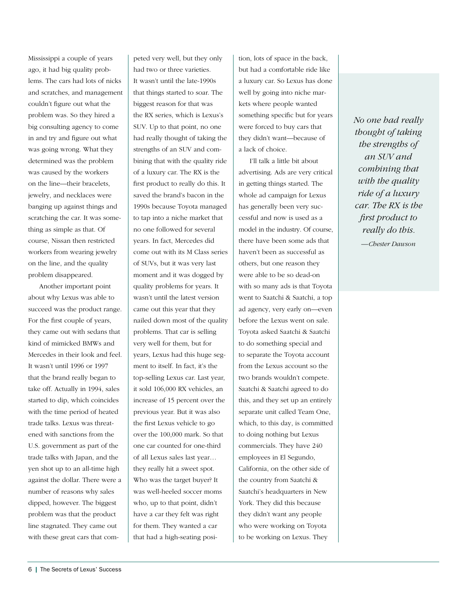Mississippi a couple of years ago, it had big quality problems. The cars had lots of nicks and scratches, and management couldn't figure out what the problem was. So they hired a big consulting agency to come in and try and figure out what was going wrong. What they determined was the problem was caused by the workers on the line—their bracelets, jewelry, and necklaces were banging up against things and scratching the car. It was something as simple as that. Of course, Nissan then restricted workers from wearing jewelry on the line, and the quality problem disappeared.

Another important point about why Lexus was able to succeed was the product range. For the first couple of years, they came out with sedans that kind of mimicked BMWs and Mercedes in their look and feel. It wasn't until 1996 or 1997 that the brand really began to take off. Actually in 1994, sales started to dip, which coincides with the time period of heated trade talks. Lexus was threatened with sanctions from the U.S. government as part of the trade talks with Japan, and the yen shot up to an all-time high against the dollar. There were a number of reasons why sales dipped, however. The biggest problem was that the product line stagnated. They came out with these great cars that com-

peted very well, but they only had two or three varieties. It wasn't until the late-1990s that things started to soar. The biggest reason for that was the RX series, which is Lexus's SUV. Up to that point, no one had really thought of taking the strengths of an SUV and combining that with the quality ride of a luxury car. The RX is the first product to really do this. It saved the brand's bacon in the 1990s because Toyota managed to tap into a niche market that no one followed for several years. In fact, Mercedes did come out with its M Class series of SUVs, but it was very last moment and it was dogged by quality problems for years. It wasn't until the latest version came out this year that they nailed down most of the quality problems. That car is selling very well for them, but for years, Lexus had this huge segment to itself. In fact, it's the top-selling Lexus car. Last year, it sold 106,000 RX vehicles, an increase of 15 percent over the previous year. But it was also the first Lexus vehicle to go over the 100,000 mark. So that one car counted for one-third of all Lexus sales last year… they really hit a sweet spot. Who was the target buyer? It was well-heeled soccer moms who, up to that point, didn't have a car they felt was right for them. They wanted a car that had a high-seating position, lots of space in the back, but had a comfortable ride like a luxury car. So Lexus has done well by going into niche markets where people wanted something specific but for years were forced to buy cars that they didn't want—because of a lack of choice.

I'll talk a little bit about advertising. Ads are very critical in getting things started. The whole ad campaign for Lexus has generally been very successful and now is used as a model in the industry. Of course, there have been some ads that haven't been as successful as others, but one reason they were able to be so dead-on with so many ads is that Toyota went to Saatchi & Saatchi, a top ad agency, very early on—even before the Lexus went on sale. Toyota asked Saatchi & Saatchi to do something special and to separate the Toyota account from the Lexus account so the two brands wouldn't compete. Saatchi & Saatchi agreed to do this, and they set up an entirely separate unit called Team One, which, to this day, is committed to doing nothing but Lexus commercials. They have 240 employees in El Segundo, California, on the other side of the country from Saatchi & Saatchi's headquarters in New York. They did this because they didn't want any people who were working on Toyota to be working on Lexus. They

*No one had really thought of taking the strengths of an SUV and combining that with the quality ride of a luxury car. The RX is the first product to really do this.*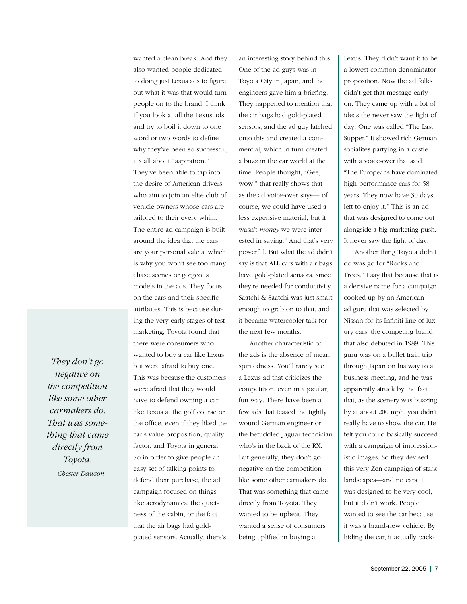*They don't go negative on the competition like some other carmakers do. That was something that came directly from Toyota.*

*—Chester Dawson*

wanted a clean break. And they also wanted people dedicated to doing just Lexus ads to figure out what it was that would turn people on to the brand. I think if you look at all the Lexus ads and try to boil it down to one word or two words to define why they've been so successful, it's all about "aspiration." They've been able to tap into the desire of American drivers who aim to join an elite club of vehicle owners whose cars are tailored to their every whim. The entire ad campaign is built around the idea that the cars are your personal valets, which is why you won't see too many chase scenes or gorgeous models in the ads. They focus on the cars and their specific attributes. This is because during the very early stages of test marketing, Toyota found that there were consumers who wanted to buy a car like Lexus but were afraid to buy one. This was because the customers were afraid that they would have to defend owning a car like Lexus at the golf course or the office, even if they liked the car's value proposition, quality factor, and Toyota in general. So in order to give people an easy set of talking points to defend their purchase, the ad campaign focused on things like aerodynamics, the quietness of the cabin, or the fact that the air bags had goldplated sensors. Actually, there's

an interesting story behind this. One of the ad guys was in Toyota City in Japan, and the engineers gave him a briefing. They happened to mention that the air bags had gold-plated sensors, and the ad guy latched onto this and created a commercial, which in turn created a buzz in the car world at the time. People thought, "Gee, wow," that really shows that as the ad voice-over says—"of course, we could have used a less expensive material, but it wasn't *money* we were interested in saving." And that's very powerful. But what the ad didn't say is that ALL cars with air bags have gold-plated sensors, since they're needed for conductivity. Saatchi & Saatchi was just smart enough to grab on to that, and it became watercooler talk for the next few months.

Another characteristic of the ads is the absence of mean spiritedness. You'll rarely see a Lexus ad that criticizes the competition, even in a jocular, fun way. There have been a few ads that teased the tightly wound German engineer or the befuddled Jaguar technician who's in the back of the RX. But generally, they don't go negative on the competition like some other carmakers do. That was something that came directly from Toyota. They wanted to be upbeat. They wanted a sense of consumers being uplifted in buying a

Lexus. They didn't want it to be a lowest common denominator proposition. Now the ad folks didn't get that message early on. They came up with a lot of ideas the never saw the light of day. One was called "The Last Supper." It showed rich German socialites partying in a castle with a voice-over that said: "The Europeans have dominated high-performance cars for 58 years. They now have 30 days left to enjoy it." This is an ad that was designed to come out alongside a big marketing push. It never saw the light of day.

Another thing Toyota didn't do was go for "Rocks and Trees." I say that because that is a derisive name for a campaign cooked up by an American ad guru that was selected by Nissan for its Infiniti line of luxury cars, the competing brand that also debuted in 1989. This guru was on a bullet train trip through Japan on his way to a business meeting, and he was apparently struck by the fact that, as the scenery was buzzing by at about 200 mph, you didn't really have to show the car. He felt you could basically succeed with a campaign of impressionistic images. So they devised this very Zen campaign of stark landscapes—and no cars. It was designed to be very cool, but it didn't work. People wanted to see the car because it was a brand-new vehicle. By hiding the car, it actually back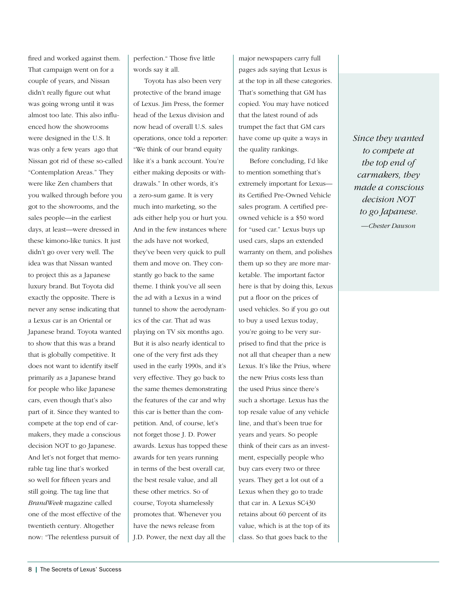fired and worked against them. That campaign went on for a couple of years, and Nissan didn't really figure out what was going wrong until it was almost too late. This also influenced how the showrooms were designed in the U.S. It was only a few years ago that Nissan got rid of these so-called "Contemplation Areas." They were like Zen chambers that you walked through before you got to the showrooms, and the sales people—in the earliest days, at least—were dressed in these kimono-like tunics. It just didn't go over very well. The idea was that Nissan wanted to project this as a Japanese luxury brand. But Toyota did exactly the opposite. There is never any sense indicating that a Lexus car is an Oriental or Japanese brand. Toyota wanted to show that this was a brand that is globally competitive. It does not want to identify itself primarily as a Japanese brand for people who like Japanese cars, even though that's also part of it. Since they wanted to compete at the top end of carmakers, they made a conscious decision NOT to go Japanese. And let's not forget that memorable tag line that's worked so well for fifteen years and still going. The tag line that *BrandWeek* magazine called one of the most effective of the twentieth century. Altogether now: "The relentless pursuit of

perfection." Those five little words say it all.

Toyota has also been very protective of the brand image of Lexus. Jim Press, the former head of the Lexus division and now head of overall U.S. sales operations, once told a reporter: "We think of our brand equity like it's a bank account. You're either making deposits or withdrawals." In other words, it's a zero-sum game. It is very much into marketing, so the ads either help you or hurt you. And in the few instances where the ads have not worked, they've been very quick to pull them and move on. They constantly go back to the same theme. I think you've all seen the ad with a Lexus in a wind tunnel to show the aerodynamics of the car. That ad was playing on TV six months ago. But it is also nearly identical to one of the very first ads they used in the early 1990s, and it's very effective. They go back to the same themes demonstrating the features of the car and why this car is better than the competition. And, of course, let's not forget those J. D. Power awards. Lexus has topped these awards for ten years running in terms of the best overall car, the best resale value, and all these other metrics. So of course, Toyota shamelessly promotes that. Whenever you have the news release from J.D. Power, the next day all the

major newspapers carry full pages ads saying that Lexus is at the top in all these categories. That's something that GM has copied. You may have noticed that the latest round of ads trumpet the fact that GM cars have come up quite a ways in the quality rankings.

Before concluding, I'd like to mention something that's extremely important for Lexus its Certified Pre-Owned Vehicle sales program. A certified preowned vehicle is a \$50 word for "used car." Lexus buys up used cars, slaps an extended warranty on them, and polishes them up so they are more marketable. The important factor here is that by doing this, Lexus put a floor on the prices of used vehicles. So if you go out to buy a used Lexus today, you're going to be very surprised to find that the price is not all that cheaper than a new Lexus. It's like the Prius, where the new Prius costs less than the used Prius since there's such a shortage. Lexus has the top resale value of any vehicle line, and that's been true for years and years. So people think of their cars as an investment, especially people who buy cars every two or three years. They get a lot out of a Lexus when they go to trade that car in. A Lexus SC430 retains about 60 percent of its value, which is at the top of its class. So that goes back to the

*Since they wanted to compete at the top end of carmakers, they made a conscious decision NOT to go Japanese. —Chester Dawson*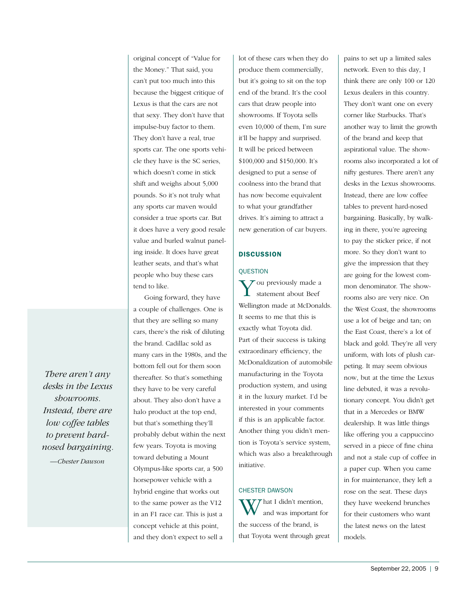original concept of "Value for the Money." That said, you can't put too much into this because the biggest critique of Lexus is that the cars are not that sexy. They don't have that impulse-buy factor to them. They don't have a real, true sports car. The one sports vehicle they have is the SC series, which doesn't come in stick shift and weighs about 5,000 pounds. So it's not truly what any sports car maven would consider a true sports car. But it does have a very good resale value and burled walnut paneling inside. It does have great leather seats, and that's what people who buy these cars tend to like.

Going forward, they have a couple of challenges. One is that they are selling so many cars, there's the risk of diluting the brand. Cadillac sold as many cars in the 1980s, and the bottom fell out for them soon thereafter. So that's something they have to be very careful about. They also don't have a halo product at the top end, but that's something they'll probably debut within the next few years. Toyota is moving toward debuting a Mount Olympus-like sports car, a 500 horsepower vehicle with a hybrid engine that works out to the same power as the V12 in an F1 race car. This is just a concept vehicle at this point, and they don't expect to sell a

lot of these cars when they do produce them commercially, but it's going to sit on the top end of the brand. It's the cool cars that draw people into showrooms. If Toyota sells even 10,000 of them, I'm sure it'll be happy and surprised. It will be priced between \$100,000 and \$150,000. It's designed to put a sense of coolness into the brand that has now become equivalent to what your grandfather drives. It's aiming to attract a new generation of car buyers.

# **DISCUSSION**

# **OUESTION**

 $\sum$  ou previously made a statement about Beef Wellington made at McDonalds. It seems to me that this is exactly what Toyota did. Part of their success is taking extraordinary efficiency, the McDonaldization of automobile manufacturing in the Toyota production system, and using it in the luxury market. I'd be interested in your comments if this is an applicable factor. Another thing you didn't mention is Toyota's service system, which was also a breakthrough initiative.

# CHESTER DAWSON

 $\boldsymbol{V}\boldsymbol{\mathcal{T}}$  hat I didn't mention, and was important for the success of the brand, is that Toyota went through great pains to set up a limited sales network. Even to this day, I think there are only 100 or 120 Lexus dealers in this country. They don't want one on every corner like Starbucks. That's another way to limit the growth of the brand and keep that aspirational value. The showrooms also incorporated a lot of nifty gestures. There aren't any desks in the Lexus showrooms. Instead, there are low coffee tables to prevent hard-nosed bargaining. Basically, by walking in there, you're agreeing to pay the sticker price, if not more. So they don't want to give the impression that they are going for the lowest common denominator. The showrooms also are very nice. On the West Coast, the showrooms use a lot of beige and tan; on the East Coast, there's a lot of black and gold. They're all very uniform, with lots of plush carpeting. It may seem obvious now, but at the time the Lexus line debuted, it was a revolutionary concept. You didn't get that in a Mercedes or BMW dealership. It was little things like offering you a cappuccino served in a piece of fine china and not a stale cup of coffee in a paper cup. When you came in for maintenance, they left a rose on the seat. These days they have weekend brunches for their customers who want the latest news on the latest models.

*There aren't any desks in the Lexus showrooms. Instead, there are low coffee tables to prevent hardnosed bargaining.*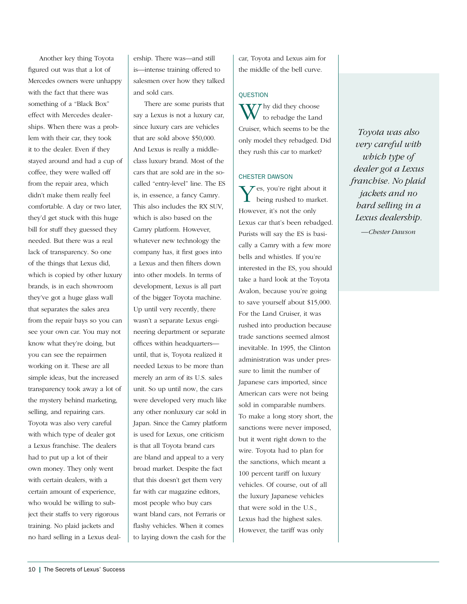Another key thing Toyota figured out was that a lot of Mercedes owners were unhappy with the fact that there was something of a "Black Box" effect with Mercedes dealerships. When there was a problem with their car, they took it to the dealer. Even if they stayed around and had a cup of coffee, they were walled off from the repair area, which didn't make them really feel comfortable. A day or two later, they'd get stuck with this huge bill for stuff they guessed they needed. But there was a real lack of transparency. So one of the things that Lexus did, which is copied by other luxury brands, is in each showroom they've got a huge glass wall that separates the sales area from the repair bays so you can see your own car. You may not know what they're doing, but you can see the repairmen working on it. These are all simple ideas, but the increased transparency took away a lot of the mystery behind marketing, selling, and repairing cars. Toyota was also very careful with which type of dealer got a Lexus franchise. The dealers had to put up a lot of their own money. They only went with certain dealers, with a certain amount of experience, who would be willing to subject their staffs to very rigorous training. No plaid jackets and no hard selling in a Lexus dealership. There was—and still is—intense training offered to salesmen over how they talked and sold cars.

There are some purists that say a Lexus is not a luxury car, since luxury cars are vehicles that are sold above \$50,000. And Lexus is really a middleclass luxury brand. Most of the cars that are sold are in the socalled "entry-level" line. The ES is, in essence, a fancy Camry. This also includes the RX SUV, which is also based on the Camry platform. However, whatever new technology the company has, it first goes into a Lexus and then filters down into other models. In terms of development, Lexus is all part of the bigger Toyota machine. Up until very recently, there wasn't a separate Lexus engineering department or separate offices within headquarters until, that is, Toyota realized it needed Lexus to be more than merely an arm of its U.S. sales unit. So up until now, the cars were developed very much like any other nonluxury car sold in Japan. Since the Camry platform is used for Lexus, one criticism is that all Toyota brand cars are bland and appeal to a very broad market. Despite the fact that this doesn't get them very far with car magazine editors, most people who buy cars want bland cars, not Ferraris or flashy vehicles. When it comes to laying down the cash for the

car, Toyota and Lexus aim for the middle of the bell curve.

#### **QUESTION**

W hy did they choose<br>to rebadge the Land Cruiser, which seems to be the only model they rebadged. Did they rush this car to market?

## CHESTER DAWSON

Yes, you're right about it being rushed to market. However, it's not the only Lexus car that's been rebadged. Purists will say the ES is basically a Camry with a few more bells and whistles. If you're interested in the ES, you should take a hard look at the Toyota Avalon, because you're going to save yourself about \$15,000. For the Land Cruiser, it was rushed into production because trade sanctions seemed almost inevitable. In 1995, the Clinton administration was under pressure to limit the number of Japanese cars imported, since American cars were not being sold in comparable numbers. To make a long story short, the sanctions were never imposed, but it went right down to the wire. Toyota had to plan for the sanctions, which meant a 100 percent tariff on luxury vehicles. Of course, out of all the luxury Japanese vehicles that were sold in the U.S., Lexus had the highest sales. However, the tariff was only

*Toyota was also very careful with which type of dealer got a Lexus franchise. No plaid jackets and no hard selling in a Lexus dealership.*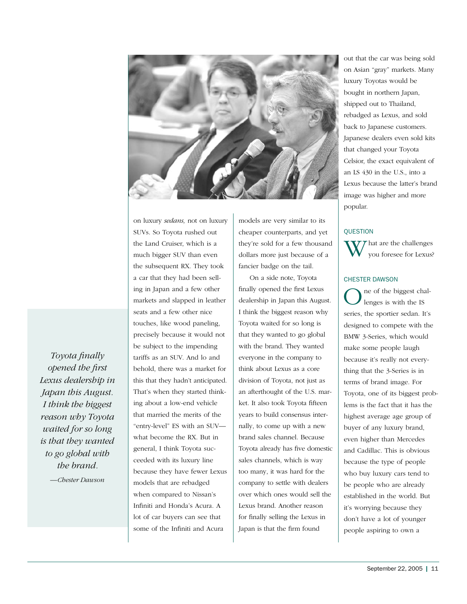

on luxury *sedans,* not on luxury SUVs. So Toyota rushed out the Land Cruiser, which is a much bigger SUV than even the subsequent RX. They took a car that they had been selling in Japan and a few other markets and slapped in leather seats and a few other nice touches, like wood paneling, precisely because it would not be subject to the impending tariffs as an SUV. And lo and behold, there was a market for this that they hadn't anticipated. That's when they started thinking about a low-end vehicle that married the merits of the "entry-level" ES with an SUV what become the RX. But in general, I think Toyota succeeded with its luxury line because they have fewer Lexus models that are rebadged when compared to Nissan's Infiniti and Honda's Acura. A lot of car buyers can see that some of the Infiniti and Acura

models are very similar to its cheaper counterparts, and yet they're sold for a few thousand dollars more just because of a fancier badge on the tail.

On a side note, Toyota finally opened the first Lexus dealership in Japan this August. I think the biggest reason why Toyota waited for so long is that they wanted to go global with the brand. They wanted everyone in the company to think about Lexus as a core division of Toyota, not just as an afterthought of the U.S. market. It also took Toyota fifteen years to build consensus internally, to come up with a new brand sales channel. Because Toyota already has five domestic sales channels, which is way too many, it was hard for the company to settle with dealers over which ones would sell the Lexus brand. Another reason for finally selling the Lexus in Japan is that the firm found

out that the car was being sold on Asian "gray" markets. Many luxury Toyotas would be bought in northern Japan, shipped out to Thailand, rebadged as Lexus, and sold back to Japanese customers. Japanese dealers even sold kits that changed your Toyota Celsior, the exact equivalent of an LS 430 in the U.S., into a Lexus because the latter's brand image was higher and more popular.

# **QUESTION**



# CHESTER DAWSON

ne of the biggest challenges is with the IS series, the sportier sedan. It's designed to compete with the BMW 3-Series, which would make some people laugh because it's really not everything that the 3-Series is in terms of brand image. For Toyota, one of its biggest problems is the fact that it has the highest average age group of buyer of any luxury brand, even higher than Mercedes and Cadillac. This is obvious because the type of people who buy luxury cars tend to be people who are already established in the world. But it's worrying because they don't have a lot of younger people aspiring to own a

*Toyota finally opened the first Lexus dealership in Japan this August. I think the biggest reason why Toyota waited for so long is that they wanted to go global with the brand.*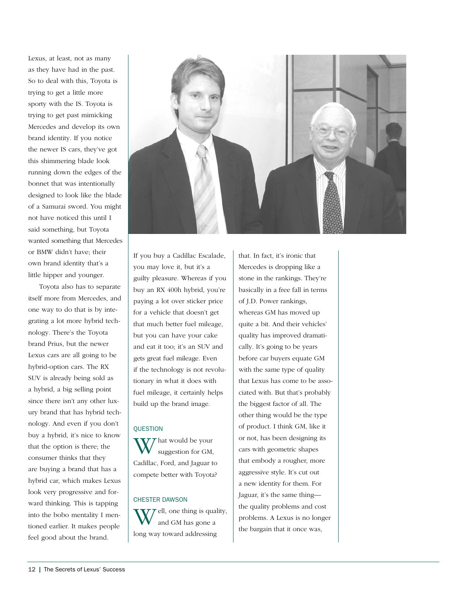Lexus, at least, not as many as they have had in the past. So to deal with this, Toyota is trying to get a little more sporty with the IS. Toyota is trying to get past mimicking Mercedes and develop its own brand identity. If you notice the newer IS cars, they've got this shimmering blade look running down the edges of the bonnet that was intentionally designed to look like the blade of a Samurai sword. You might not have noticed this until I said something, but Toyota wanted something that Mercedes or BMW didn't have; their own brand identity that's a little hipper and younger.

Toyota also has to separate itself more from Mercedes, and one way to do that is by integrating a lot more hybrid technology. There's the Toyota brand Prius, but the newer Lexus cars are all going to be hybrid-option cars. The RX SUV is already being sold as a hybrid, a big selling point since there isn't any other luxury brand that has hybrid technology. And even if you don't buy a hybrid, it's nice to know that the option is there; the consumer thinks that they are buying a brand that has a hybrid car, which makes Lexus look very progressive and forward thinking. This is tapping into the bobo mentality I mentioned earlier. It makes people feel good about the brand.



If you buy a Cadillac Escalade, you may love it, but it's a guilty pleasure. Whereas if you buy an RX 400h hybrid, you're paying a lot over sticker price for a vehicle that doesn't get that much better fuel mileage, but you can have your cake and eat it too; it's an SUV and gets great fuel mileage. Even if the technology is not revolutionary in what it does with fuel mileage, it certainly helps build up the brand image.

# **OUESTION**

W hat would be your<br>suggestion for GM, Cadillac, Ford, and Jaguar to compete better with Toyota?

# CHESTER DAWSON

 $\mathcal{T}\mathcal{T}$  ell, one thing is quality, and GM has gone a long way toward addressing

that. In fact, it's ironic that Mercedes is dropping like a stone in the rankings. They're basically in a free fall in terms of J.D. Power rankings, whereas GM has moved up quite a bit. And their vehicles' quality has improved dramatically. It's going to be years before car buyers equate GM with the same type of quality that Lexus has come to be associated with. But that's probably the biggest factor of all. The other thing would be the type of product. I think GM, like it or not, has been designing its cars with geometric shapes that embody a rougher, more aggressive style. It's cut out a new identity for them. For Jaguar, it's the same thing the quality problems and cost problems. A Lexus is no longer the bargain that it once was,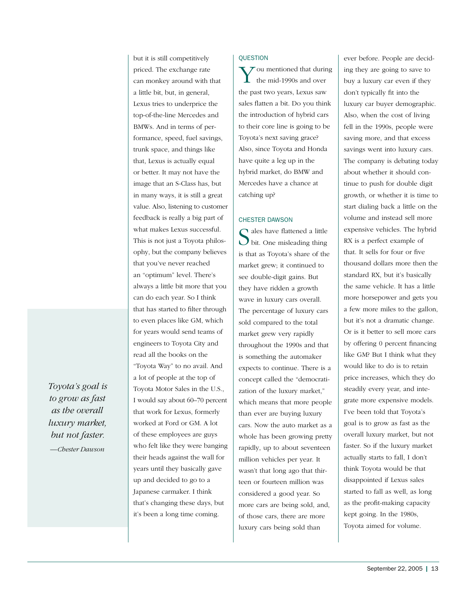*Toyota's goal is to grow as fast as the overall luxury market, but not faster. —Chester Dawson*

but it is still competitively priced. The exchange rate can monkey around with that a little bit, but, in general, Lexus tries to underprice the top-of-the-line Mercedes and BMWs. And in terms of performance, speed, fuel savings, trunk space, and things like that, Lexus is actually equal or better. It may not have the image that an S-Class has, but in many ways, it is still a great value. Also, listening to customer feedback is really a big part of what makes Lexus successful. This is not just a Toyota philosophy, but the company believes that you've never reached an "optimum" level. There's always a little bit more that you can do each year. So I think that has started to filter through to even places like GM, which for years would send teams of engineers to Toyota City and read all the books on the "Toyota Way" to no avail. And a lot of people at the top of Toyota Motor Sales in the U.S., I would say about 60–70 percent that work for Lexus, formerly worked at Ford or GM. A lot of these employees are guys who felt like they were banging their heads against the wall for years until they basically gave up and decided to go to a Japanese carmaker. I think that's changing these days, but it's been a long time coming.

#### QUESTION

You mentioned that during the mid-1990s and over the past two years, Lexus saw sales flatten a bit. Do you think the introduction of hybrid cars to their core line is going to be Toyota's next saving grace? Also, since Toyota and Honda have quite a leg up in the hybrid market, do BMW and Mercedes have a chance at catching up?

## CHESTER DAWSON

 $\bigcap$  ales have flattened a little  $\bigcup$  bit. One misleading thing is that as Toyota's share of the market grew; it continued to see double-digit gains. But they have ridden a growth wave in luxury cars overall. The percentage of luxury cars sold compared to the total market grew very rapidly throughout the 1990s and that is something the automaker expects to continue. There is a concept called the "democratization of the luxury market," which means that more people than ever are buying luxury cars. Now the auto market as a whole has been growing pretty rapidly, up to about seventeen million vehicles per year. It wasn't that long ago that thirteen or fourteen million was considered a good year. So more cars are being sold, and, of those cars, there are more luxury cars being sold than

ever before. People are deciding they are going to save to buy a luxury car even if they don't typically fit into the luxury car buyer demographic. Also, when the cost of living fell in the 1990s, people were saving more, and that excess savings went into luxury cars. The company is debating today about whether it should continue to push for double digit growth, or whether it is time to start dialing back a little on the volume and instead sell more expensive vehicles. The hybrid RX is a perfect example of that. It sells for four or five thousand dollars more then the standard RX, but it's basically the same vehicle. It has a little more horsepower and gets you a few more miles to the gallon, but it's not a dramatic change. Or is it better to sell more cars by offering 0 percent financing like GM? But I think what they would like to do is to retain price increases, which they do steadily every year, and integrate more expensive models. I've been told that Toyota's goal is to grow as fast as the overall luxury market, but not faster. So if the luxury market actually starts to fall, I don't think Toyota would be that disappointed if Lexus sales started to fall as well, as long as the profit-making capacity kept going. In the 1980s, Toyota aimed for volume.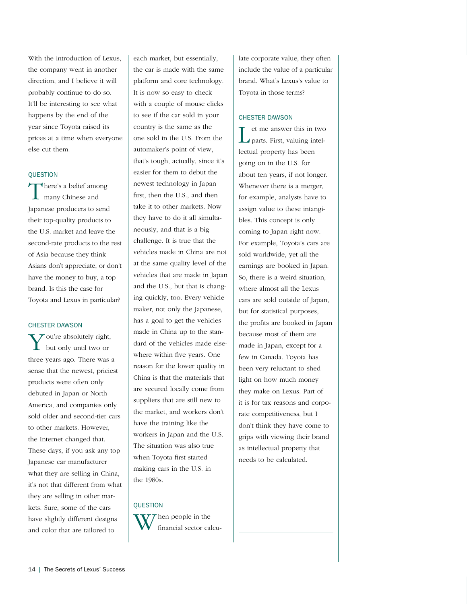With the introduction of Lexus, the company went in another direction, and I believe it will probably continue to do so. It'll be interesting to see what happens by the end of the year since Toyota raised its prices at a time when everyone else cut them.

#### **OUESTION**

There's a belief among **L** many Chinese and Japanese producers to send their top-quality products to the U.S. market and leave the second-rate products to the rest of Asia because they think Asians don't appreciate, or don't have the money to buy, a top brand. Is this the case for Toyota and Lexus in particular?

#### CHESTER DAWSON

You're absolutely right, but only until two or three years ago. There was a sense that the newest, priciest products were often only debuted in Japan or North America, and companies only sold older and second-tier cars to other markets. However, the Internet changed that. These days, if you ask any top Japanese car manufacturer what they are selling in China, it's not that different from what they are selling in other markets. Sure, some of the cars have slightly different designs and color that are tailored to

each market, but essentially, the car is made with the same platform and core technology. It is now so easy to check with a couple of mouse clicks to see if the car sold in your country is the same as the one sold in the U.S. From the automaker's point of view, that's tough, actually, since it's easier for them to debut the newest technology in Japan first, then the U.S., and then take it to other markets. Now they have to do it all simultaneously, and that is a big challenge. It is true that the vehicles made in China are not at the same quality level of the vehicles that are made in Japan and the U.S., but that is changing quickly, too. Every vehicle maker, not only the Japanese, has a goal to get the vehicles made in China up to the standard of the vehicles made elsewhere within five years. One reason for the lower quality in China is that the materials that are secured locally come from suppliers that are still new to the market, and workers don't have the training like the workers in Japan and the U.S. The situation was also true when Toyota first started making cars in the U.S. in the 1980s.

#### **OUESTION**



late corporate value, they often include the value of a particular brand. What's Lexus's value to Toyota in those terms?

#### CHESTER DAWSON

L et me answer this in two parts. First, valuing intellectual property has been going on in the U.S. for about ten years, if not longer. Whenever there is a merger, for example, analysts have to assign value to these intangibles. This concept is only coming to Japan right now. For example, Toyota's cars are sold worldwide, yet all the earnings are booked in Japan. So, there is a weird situation, where almost all the Lexus cars are sold outside of Japan, but for statistical purposes, the profits are booked in Japan because most of them are made in Japan, except for a few in Canada. Toyota has been very reluctant to shed light on how much money they make on Lexus. Part of it is for tax reasons and corporate competitiveness, but I don't think they have come to grips with viewing their brand as intellectual property that needs to be calculated.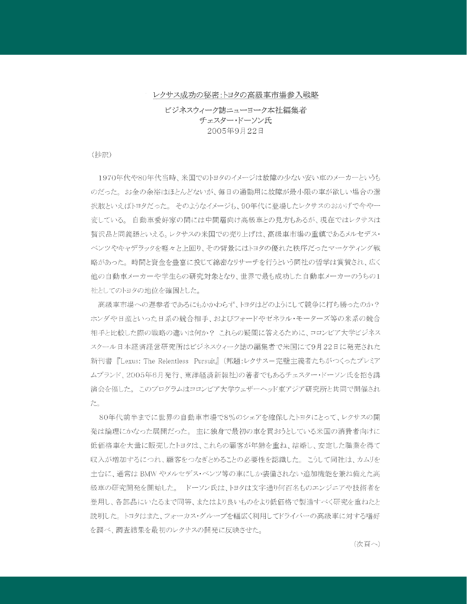#### レクサス成功の秘密:トヨタの高級車市場参入戦略

ビジネスウィーク誌ニューヨーク本社編集者 チェスター・ドーソン氏 2005年9月22日

#### (抄訳)

1970年代や80年代当時、米国でのトヨタのイメージは故障の少ない安い車のメーカーというも のだった。お金の余裕はほとんどないが、毎日の通勤用に故障が最小限の車が欲しい場合の選 択肢といえばトヨタだった。そのようなイメージも、90年代に登場したレクサスのおかげで今や一 変している。自動車愛好家の間には中間層向け高級車との見方もあるが、現在ではレクサスは 贅沢品と同義語といえる。レクサスの米国での売り上げは、高級車市場の重鎮であるメルセデス・ ベンツやキャデラックを軽々と上回り、その背景にはトヨタの優れた秩序だったマーケティング戦 略があった。 時間と資金を豊富に投じて綿密なリサーチを行うという同社の哲学は賞賛され、広く 他の自動車メーカーや学生らの研究対象となり、世界で最も成功した自動車メーカーのうちの1 社としてのトヨタの地位を確固とした。

高級車市場への遅参者であるにもかかわらず、トヨタはどのようにして競争に打ち勝ったのか? ホンダや日産といった日系の競合相手、およびフォードやゼネラル・モーターズ等の米系の競合 相手と比較した際の戦略の違いは何か? これらの疑問に答えるために、コロンビア大学ビジネス スクール日本経済経営研究所はビジネスウィーク誌の編集者で米国にて9月22日に発売された 新刊書 『Lexus: The Relentless Pursuit』(邦題:レクサスー完璧主義者たちがつくったプレミア ムブランド、2005年6月発行、東洋経済新報社)の著者でもあるチェスター・ドーソン氏を招き講 演会を催した。このプログラムはコロンビア大学ウェザーヘッド東アジア研究所と共同で開催され た。

80年代前半までに世界の自動車市場で8%のシェアを確保したトヨタにとって、レクサスの開 発は論理にかなった展開だった。主に独身で最初の車を買おうとしている米国の消費者向けに 低価格車を大量に販売したトヨタは、これらの顧客が年齢を重ね、結婚し、安定した職業を得て 収入が増加するにつれ、顧客をつなぎとめることの必要性を認識した。 こうして同社は、カムリを 土台に、通常は BMW やメルセデス・ベンツ等の車にしか装備されない追加機能を兼ね備えた高 級車の研究開発を開始した。 ドーソン氏は、トヨタは文字通り何百名ものエンジニアや技術者を 登用し、各部品にいたるまで同等、またはより良いものをより低価格で製造すべく研究を重ねたと 説明した。トヨタはまた、フォーカス・グループを幅広く利用してドライバーの高級車に対する嗜好 を調べ、調査結果を最初のレクサスの開発に反映させた。

(次頁へ)